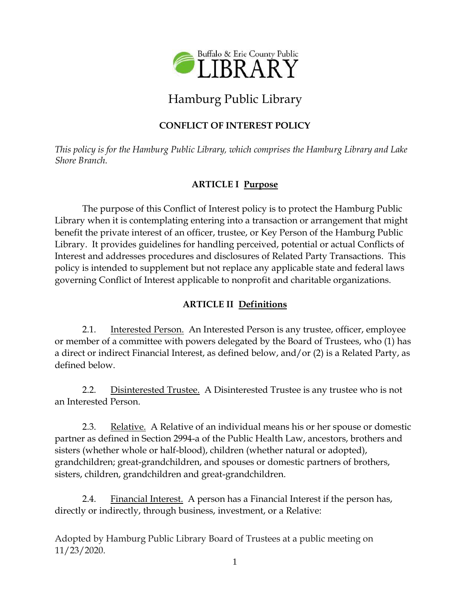

# Hamburg Public Library

# **CONFLICT OF INTEREST POLICY**

*This policy is for the Hamburg Public Library, which comprises the Hamburg Library and Lake Shore Branch.*

# **ARTICLE I Purpose**

The purpose of this Conflict of Interest policy is to protect the Hamburg Public Library when it is contemplating entering into a transaction or arrangement that might benefit the private interest of an officer, trustee, or Key Person of the Hamburg Public Library. It provides guidelines for handling perceived, potential or actual Conflicts of Interest and addresses procedures and disclosures of Related Party Transactions. This policy is intended to supplement but not replace any applicable state and federal laws governing Conflict of Interest applicable to nonprofit and charitable organizations.

# **ARTICLE II Definitions**

2.1. Interested Person. An Interested Person is any trustee, officer, employee or member of a committee with powers delegated by the Board of Trustees, who (1) has a direct or indirect Financial Interest, as defined below, and/or (2) is a Related Party, as defined below.

2.2. Disinterested Trustee. A Disinterested Trustee is any trustee who is not an Interested Person.

2.3. Relative. A Relative of an individual means his or her spouse or domestic partner as defined in Section 2994-a of the Public Health Law, ancestors, brothers and sisters (whether whole or half-blood), children (whether natural or adopted), grandchildren; great-grandchildren, and spouses or domestic partners of brothers, sisters, children, grandchildren and great-grandchildren.

2.4. Financial Interest. A person has a Financial Interest if the person has, directly or indirectly, through business, investment, or a Relative: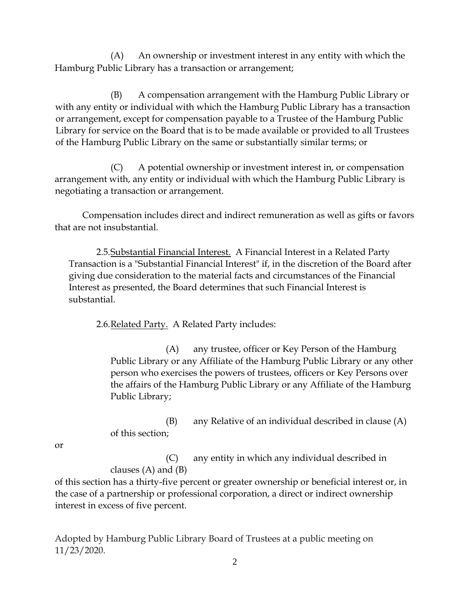(A) An ownership or investment interest in any entity with which the Hamburg Public Library has a transaction or arrangement;

(B) A compensation arrangement with the Hamburg Public Library or with any entity or individual with which the Hamburg Public Library has a transaction or arrangement, except for compensation payable to a Trustee of the Hamburg Public Library for service on the Board that is to be made available or provided to all Trustees of the Hamburg Public Library on the same or substantially similar terms; or

(C) A potential ownership or investment interest in, or compensation arrangement with, any entity or individual with which the Hamburg Public Library is negotiating a transaction or arrangement.

Compensation includes direct and indirect remuneration as well as gifts or favors that are not insubstantial.

2.5.Substantial Financial Interest. A Financial Interest in a Related Party Transaction is a "Substantial Financial Interest" if, in the discretion of the Board after giving due consideration to the material facts and circumstances of the Financial Interest as presented, the Board determines that such Financial Interest is substantial.

2.6.Related Party. A Related Party includes:

(A) any trustee, officer or Key Person of the Hamburg Public Library or any Affiliate of the Hamburg Public Library or any other person who exercises the powers of trustees, officers or Key Persons over the affairs of the Hamburg Public Library or any Affiliate of the Hamburg Public Library;

(B) any Relative of an individual described in clause (A) of this section;

or

(C) any entity in which any individual described in clauses (A) and (B)

of this section has a thirty-five percent or greater ownership or beneficial interest or, in the case of a partnership or professional corporation, a direct or indirect ownership interest in excess of five percent.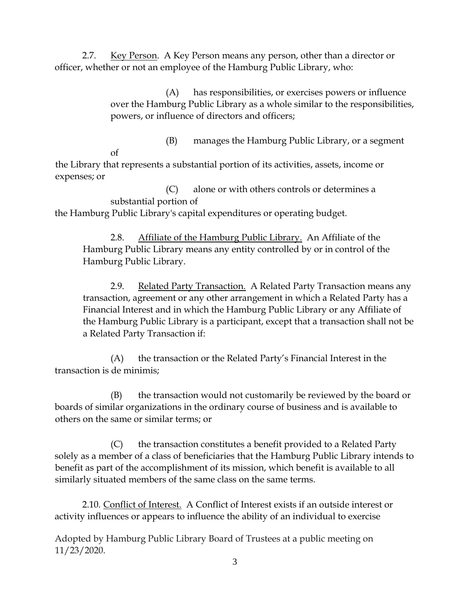2.7. Key Person. A Key Person means any person, other than a director or officer, whether or not an employee of the Hamburg Public Library, who:

> (A) has responsibilities, or exercises powers or influence over the Hamburg Public Library as a whole similar to the responsibilities, powers, or influence of directors and officers;

> > (B) manages the Hamburg Public Library, or a segment

of the Library that represents a substantial portion of its activities, assets, income or expenses; or

(C) alone or with others controls or determines a substantial portion of the Hamburg Public Library's capital expenditures or operating budget.

2.8. Affiliate of the Hamburg Public Library. An Affiliate of the Hamburg Public Library means any entity controlled by or in control of the Hamburg Public Library.

2.9. Related Party Transaction. A Related Party Transaction means any transaction, agreement or any other arrangement in which a Related Party has a Financial Interest and in which the Hamburg Public Library or any Affiliate of the Hamburg Public Library is a participant, except that a transaction shall not be a Related Party Transaction if:

(A) the transaction or the Related Party's Financial Interest in the transaction is de minimis;

(B) the transaction would not customarily be reviewed by the board or boards of similar organizations in the ordinary course of business and is available to others on the same or similar terms; or

(C) the transaction constitutes a benefit provided to a Related Party solely as a member of a class of beneficiaries that the Hamburg Public Library intends to benefit as part of the accomplishment of its mission, which benefit is available to all similarly situated members of the same class on the same terms.

2.10. Conflict of Interest. A Conflict of Interest exists if an outside interest or activity influences or appears to influence the ability of an individual to exercise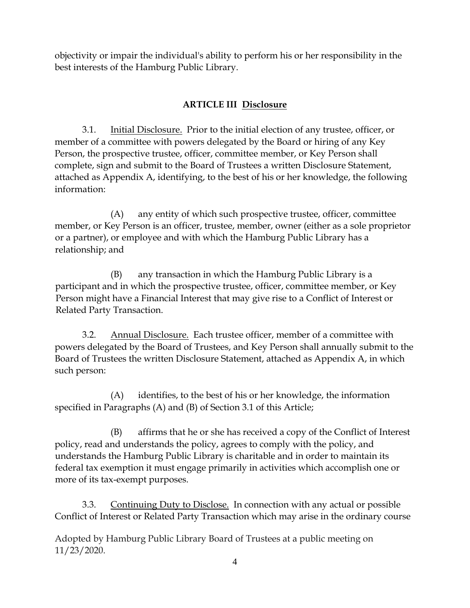objectivity or impair the individual's ability to perform his or her responsibility in the best interests of the Hamburg Public Library.

# **ARTICLE III Disclosure**

3.1. Initial Disclosure. Prior to the initial election of any trustee, officer, or member of a committee with powers delegated by the Board or hiring of any Key Person, the prospective trustee, officer, committee member, or Key Person shall complete, sign and submit to the Board of Trustees a written Disclosure Statement, attached as Appendix A, identifying, to the best of his or her knowledge, the following information:

(A) any entity of which such prospective trustee, officer, committee member, or Key Person is an officer, trustee, member, owner (either as a sole proprietor or a partner), or employee and with which the Hamburg Public Library has a relationship; and

(B) any transaction in which the Hamburg Public Library is a participant and in which the prospective trustee, officer, committee member, or Key Person might have a Financial Interest that may give rise to a Conflict of Interest or Related Party Transaction.

3.2. Annual Disclosure. Each trustee officer, member of a committee with powers delegated by the Board of Trustees, and Key Person shall annually submit to the Board of Trustees the written Disclosure Statement, attached as Appendix A, in which such person:

(A) identifies, to the best of his or her knowledge, the information specified in Paragraphs (A) and (B) of Section 3.1 of this Article;

(B) affirms that he or she has received a copy of the Conflict of Interest policy, read and understands the policy, agrees to comply with the policy, and understands the Hamburg Public Library is charitable and in order to maintain its federal tax exemption it must engage primarily in activities which accomplish one or more of its tax-exempt purposes.

3.3. Continuing Duty to Disclose. In connection with any actual or possible Conflict of Interest or Related Party Transaction which may arise in the ordinary course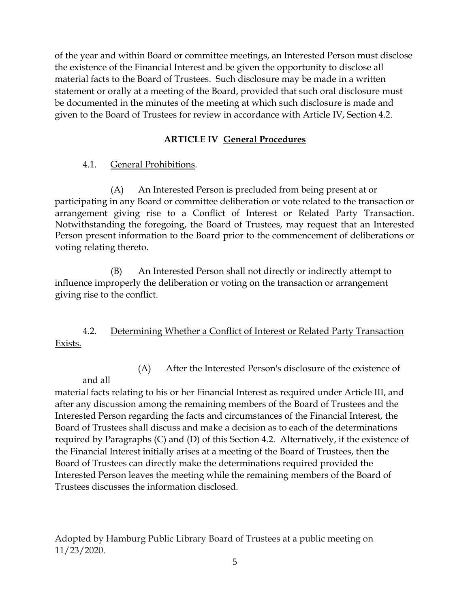of the year and within Board or committee meetings, an Interested Person must disclose the existence of the Financial Interest and be given the opportunity to disclose all material facts to the Board of Trustees. Such disclosure may be made in a written statement or orally at a meeting of the Board, provided that such oral disclosure must be documented in the minutes of the meeting at which such disclosure is made and given to the Board of Trustees for review in accordance with Article IV, Section 4.2.

#### **ARTICLE IV General Procedures**

#### 4.1. General Prohibitions.

and all

(A) An Interested Person is precluded from being present at or participating in any Board or committee deliberation or vote related to the transaction or arrangement giving rise to a Conflict of Interest or Related Party Transaction. Notwithstanding the foregoing, the Board of Trustees, may request that an Interested Person present information to the Board prior to the commencement of deliberations or voting relating thereto.

(B) An Interested Person shall not directly or indirectly attempt to influence improperly the deliberation or voting on the transaction or arrangement giving rise to the conflict.

#### 4.2. Determining Whether a Conflict of Interest or Related Party Transaction Exists.

(A) After the Interested Person's disclosure of the existence of

material facts relating to his or her Financial Interest as required under Article III, and after any discussion among the remaining members of the Board of Trustees and the Interested Person regarding the facts and circumstances of the Financial Interest, the Board of Trustees shall discuss and make a decision as to each of the determinations required by Paragraphs (C) and (D) of this Section 4.2. Alternatively, if the existence of the Financial Interest initially arises at a meeting of the Board of Trustees, then the Board of Trustees can directly make the determinations required provided the Interested Person leaves the meeting while the remaining members of the Board of Trustees discusses the information disclosed.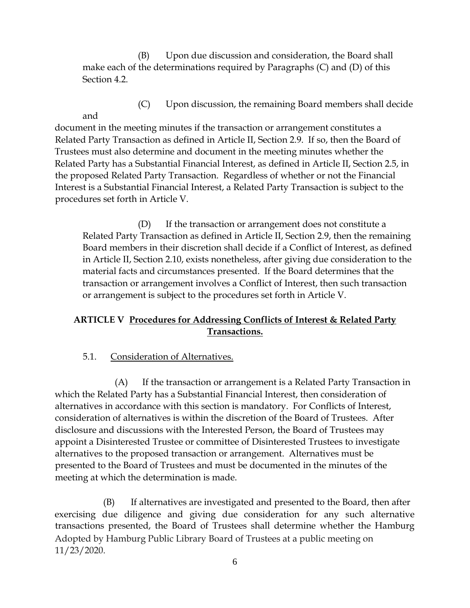(B) Upon due discussion and consideration, the Board shall make each of the determinations required by Paragraphs (C) and (D) of this Section 4.2.

(C) Upon discussion, the remaining Board members shall decide

document in the meeting minutes if the transaction or arrangement constitutes a Related Party Transaction as defined in Article II, Section 2.9. If so, then the Board of Trustees must also determine and document in the meeting minutes whether the Related Party has a Substantial Financial Interest, as defined in Article II, Section 2.5, in the proposed Related Party Transaction. Regardless of whether or not the Financial Interest is a Substantial Financial Interest, a Related Party Transaction is subject to the procedures set forth in Article V.

(D) If the transaction or arrangement does not constitute a Related Party Transaction as defined in Article II, Section 2.9, then the remaining Board members in their discretion shall decide if a Conflict of Interest, as defined in Article II, Section 2.10, exists nonetheless, after giving due consideration to the material facts and circumstances presented. If the Board determines that the transaction or arrangement involves a Conflict of Interest, then such transaction or arrangement is subject to the procedures set forth in Article V.

### **ARTICLE V Procedures for Addressing Conflicts of Interest & Related Party Transactions.**

5.1. Consideration of Alternatives.

and

(A) If the transaction or arrangement is a Related Party Transaction in which the Related Party has a Substantial Financial Interest, then consideration of alternatives in accordance with this section is mandatory. For Conflicts of Interest, consideration of alternatives is within the discretion of the Board of Trustees. After disclosure and discussions with the Interested Person, the Board of Trustees may appoint a Disinterested Trustee or committee of Disinterested Trustees to investigate alternatives to the proposed transaction or arrangement. Alternatives must be presented to the Board of Trustees and must be documented in the minutes of the meeting at which the determination is made.

Adopted by Hamburg Public Library Board of Trustees at a public meeting on 11/23/2020. (B) If alternatives are investigated and presented to the Board, then after exercising due diligence and giving due consideration for any such alternative transactions presented, the Board of Trustees shall determine whether the Hamburg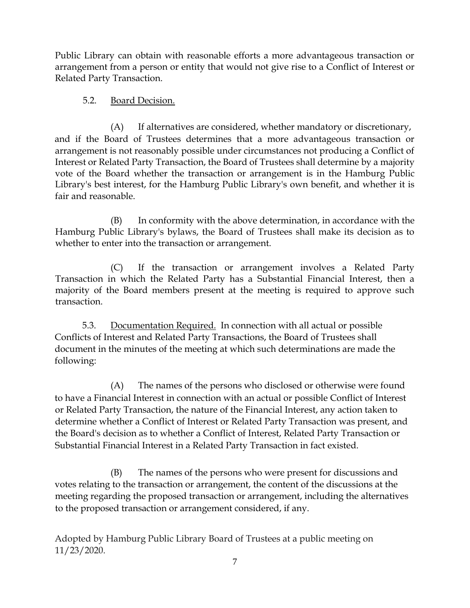Public Library can obtain with reasonable efforts a more advantageous transaction or arrangement from a person or entity that would not give rise to a Conflict of Interest or Related Party Transaction.

### 5.2. Board Decision.

(A) If alternatives are considered, whether mandatory or discretionary, and if the Board of Trustees determines that a more advantageous transaction or arrangement is not reasonably possible under circumstances not producing a Conflict of Interest or Related Party Transaction, the Board of Trustees shall determine by a majority vote of the Board whether the transaction or arrangement is in the Hamburg Public Library's best interest, for the Hamburg Public Library's own benefit, and whether it is fair and reasonable.

(B) In conformity with the above determination, in accordance with the Hamburg Public Library's bylaws, the Board of Trustees shall make its decision as to whether to enter into the transaction or arrangement.

(C) If the transaction or arrangement involves a Related Party Transaction in which the Related Party has a Substantial Financial Interest, then a majority of the Board members present at the meeting is required to approve such transaction.

5.3. Documentation Required. In connection with all actual or possible Conflicts of Interest and Related Party Transactions, the Board of Trustees shall document in the minutes of the meeting at which such determinations are made the following:

(A) The names of the persons who disclosed or otherwise were found to have a Financial Interest in connection with an actual or possible Conflict of Interest or Related Party Transaction, the nature of the Financial Interest, any action taken to determine whether a Conflict of Interest or Related Party Transaction was present, and the Board's decision as to whether a Conflict of Interest, Related Party Transaction or Substantial Financial Interest in a Related Party Transaction in fact existed.

(B) The names of the persons who were present for discussions and votes relating to the transaction or arrangement, the content of the discussions at the meeting regarding the proposed transaction or arrangement, including the alternatives to the proposed transaction or arrangement considered, if any.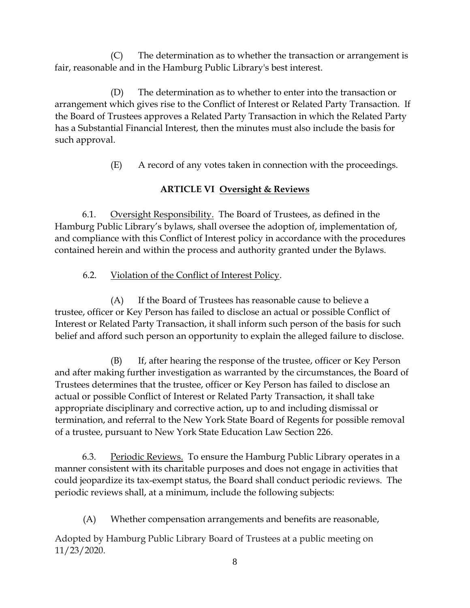(C) The determination as to whether the transaction or arrangement is fair, reasonable and in the Hamburg Public Library's best interest.

(D) The determination as to whether to enter into the transaction or arrangement which gives rise to the Conflict of Interest or Related Party Transaction. If the Board of Trustees approves a Related Party Transaction in which the Related Party has a Substantial Financial Interest, then the minutes must also include the basis for such approval.

(E) A record of any votes taken in connection with the proceedings.

#### **ARTICLE VI Oversight & Reviews**

6.1. Oversight Responsibility. The Board of Trustees, as defined in the Hamburg Public Library's bylaws, shall oversee the adoption of, implementation of, and compliance with this Conflict of Interest policy in accordance with the procedures contained herein and within the process and authority granted under the Bylaws.

#### 6.2. Violation of the Conflict of Interest Policy.

(A) If the Board of Trustees has reasonable cause to believe a trustee, officer or Key Person has failed to disclose an actual or possible Conflict of Interest or Related Party Transaction, it shall inform such person of the basis for such belief and afford such person an opportunity to explain the alleged failure to disclose.

(B) If, after hearing the response of the trustee, officer or Key Person and after making further investigation as warranted by the circumstances, the Board of Trustees determines that the trustee, officer or Key Person has failed to disclose an actual or possible Conflict of Interest or Related Party Transaction, it shall take appropriate disciplinary and corrective action, up to and including dismissal or termination, and referral to the New York State Board of Regents for possible removal of a trustee, pursuant to New York State Education Law Section 226.

6.3. Periodic Reviews. To ensure the Hamburg Public Library operates in a manner consistent with its charitable purposes and does not engage in activities that could jeopardize its tax-exempt status, the Board shall conduct periodic reviews. The periodic reviews shall, at a minimum, include the following subjects:

(A) Whether compensation arrangements and benefits are reasonable,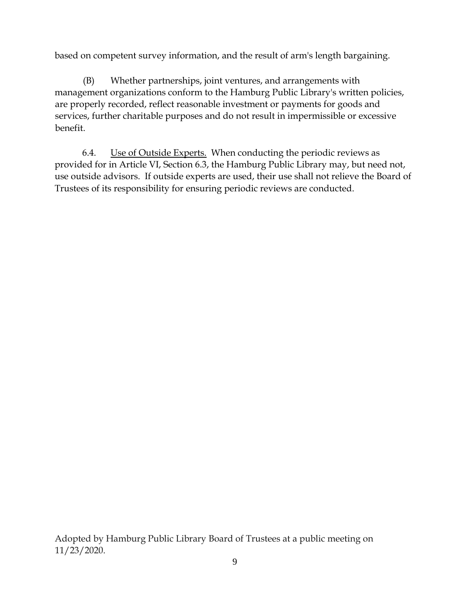based on competent survey information, and the result of arm's length bargaining.

(B) Whether partnerships, joint ventures, and arrangements with management organizations conform to the Hamburg Public Library's written policies, are properly recorded, reflect reasonable investment or payments for goods and services, further charitable purposes and do not result in impermissible or excessive benefit.

6.4. Use of Outside Experts. When conducting the periodic reviews as provided for in Article VI, Section 6.3, the Hamburg Public Library may, but need not, use outside advisors. If outside experts are used, their use shall not relieve the Board of Trustees of its responsibility for ensuring periodic reviews are conducted.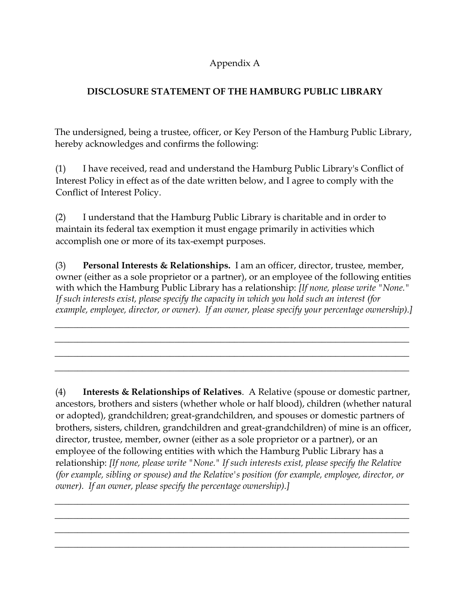# Appendix A

# **DISCLOSURE STATEMENT OF THE HAMBURG PUBLIC LIBRARY**

The undersigned, being a trustee, officer, or Key Person of the Hamburg Public Library, hereby acknowledges and confirms the following:

(1) I have received, read and understand the Hamburg Public Library's Conflict of Interest Policy in effect as of the date written below, and I agree to comply with the Conflict of Interest Policy.

(2) I understand that the Hamburg Public Library is charitable and in order to maintain its federal tax exemption it must engage primarily in activities which accomplish one or more of its tax-exempt purposes.

(3) **Personal Interests & Relationships.** I am an officer, director, trustee, member, owner (either as a sole proprietor or a partner), or an employee of the following entities with which the Hamburg Public Library has a relationship: *[If none, please write "None." If such interests exist, please specify the capacity in which you hold such an interest (for example, employee, director, or owner). If an owner, please specify your percentage ownership).]* 

\_\_\_\_\_\_\_\_\_\_\_\_\_\_\_\_\_\_\_\_\_\_\_\_\_\_\_\_\_\_\_\_\_\_\_\_\_\_\_\_\_\_\_\_\_\_\_\_\_\_\_\_\_\_\_\_\_\_\_\_\_\_\_\_\_\_\_\_\_\_\_\_\_\_\_\_\_ \_\_\_\_\_\_\_\_\_\_\_\_\_\_\_\_\_\_\_\_\_\_\_\_\_\_\_\_\_\_\_\_\_\_\_\_\_\_\_\_\_\_\_\_\_\_\_\_\_\_\_\_\_\_\_\_\_\_\_\_\_\_\_\_\_\_\_\_\_\_\_\_\_\_\_\_\_ \_\_\_\_\_\_\_\_\_\_\_\_\_\_\_\_\_\_\_\_\_\_\_\_\_\_\_\_\_\_\_\_\_\_\_\_\_\_\_\_\_\_\_\_\_\_\_\_\_\_\_\_\_\_\_\_\_\_\_\_\_\_\_\_\_\_\_\_\_\_\_\_\_\_\_\_\_ \_\_\_\_\_\_\_\_\_\_\_\_\_\_\_\_\_\_\_\_\_\_\_\_\_\_\_\_\_\_\_\_\_\_\_\_\_\_\_\_\_\_\_\_\_\_\_\_\_\_\_\_\_\_\_\_\_\_\_\_\_\_\_\_\_\_\_\_\_\_\_\_\_\_\_\_\_

(4) **Interests & Relationships of Relatives**. A Relative (spouse or domestic partner, ancestors, brothers and sisters (whether whole or half blood), children (whether natural or adopted), grandchildren; great-grandchildren, and spouses or domestic partners of brothers, sisters, children, grandchildren and great-grandchildren) of mine is an officer, director, trustee, member, owner (either as a sole proprietor or a partner), or an employee of the following entities with which the Hamburg Public Library has a relationship: *[If none, please write "None." If such interests exist, please specify the Relative (for example, sibling or spouse) and the Relative's position (for example, employee, director, or owner). If an owner, please specify the percentage ownership).]* 

\_\_\_\_\_\_\_\_\_\_\_\_\_\_\_\_\_\_\_\_\_\_\_\_\_\_\_\_\_\_\_\_\_\_\_\_\_\_\_\_\_\_\_\_\_\_\_\_\_\_\_\_\_\_\_\_\_\_\_\_\_\_\_\_\_\_\_\_\_\_\_\_\_\_\_\_\_ \_\_\_\_\_\_\_\_\_\_\_\_\_\_\_\_\_\_\_\_\_\_\_\_\_\_\_\_\_\_\_\_\_\_\_\_\_\_\_\_\_\_\_\_\_\_\_\_\_\_\_\_\_\_\_\_\_\_\_\_\_\_\_\_\_\_\_\_\_\_\_\_\_\_\_\_\_ \_\_\_\_\_\_\_\_\_\_\_\_\_\_\_\_\_\_\_\_\_\_\_\_\_\_\_\_\_\_\_\_\_\_\_\_\_\_\_\_\_\_\_\_\_\_\_\_\_\_\_\_\_\_\_\_\_\_\_\_\_\_\_\_\_\_\_\_\_\_\_\_\_\_\_\_\_ \_\_\_\_\_\_\_\_\_\_\_\_\_\_\_\_\_\_\_\_\_\_\_\_\_\_\_\_\_\_\_\_\_\_\_\_\_\_\_\_\_\_\_\_\_\_\_\_\_\_\_\_\_\_\_\_\_\_\_\_\_\_\_\_\_\_\_\_\_\_\_\_\_\_\_\_\_